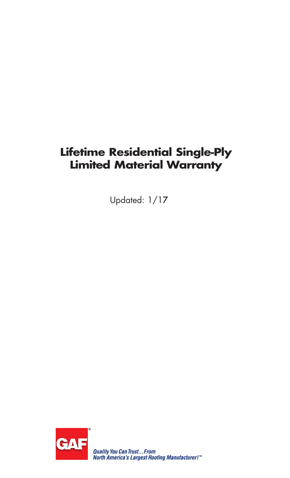# **Lifetime Residential Single-Ply Limited Material Warranty**

Updated: 1/17

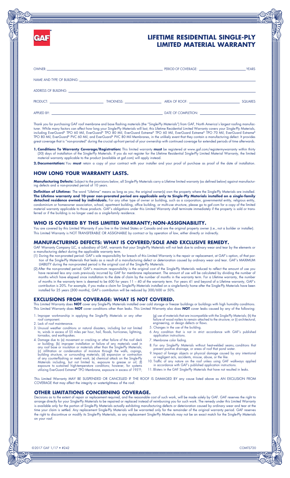

# **LIFETIME RESIDENTIAL SINGLE-PLY LIMITED MATERIAL WARRANTY**

|  | PRODUCT: THICKNESS: THICKNESS: AREA OF ROOF: | <b>SQUARES</b> |
|--|----------------------------------------------|----------------|
|  |                                              |                |

Thank you for purchasing GAF roof membrane and base flashing materials (the "Single-Ply Materials") from GAF, North America's largest roofing manufacturer. While many factors can affect how long your Single-Ply Materials will last, this Lifetime Residential Limited Warranty covers your Single-Ply Materials, including EverGuard® TPO 60 Mil, EverGuard® TPO 80 Mil, EverGuard Extreme® TPO 60 Mil, EverGuard Extreme® TPO 70 Mil, EverGuard Extreme® TPO 80 Mil, EverGuard® PVC 60 Mil, and EverGuard® PVC 80 Mil Membranes, in the unlikely event that they contain a manufacturing defect. It provides great coverage that is "non-prorated" during the crucial up-front period of your ownership with continued coverage for extended periods of time afterwards.

**1. Conditions To Warranty Coverage/Registration:** This limited warranty **must** be registered at www.gaf.com/registermywarranty within thirty (30) days of installation of the Single-Ply Materials. If you do not register for the Lifetime Residential Single-Ply Limited Material Warranty, the limited material warranty applicable to the product (available at gaf.com) will apply instead.

**2. Documentation:** You **must** retain a copy of your contract with your installer and your proof of purchase as proof of the date of installation.

# **HOW LONG YOUR WARRANTY LASTS.**

**Manufacturing Defects:** Subject to the provisions below, all Single-Ply Materials carry a Lifetime limited warranty (as defined below) against manufacturing defects and a non-prorated period of 10 years.

**Definition of Lifetime:** The word "Lifetime" means as long as you, the original owner(s) own the property where the Single-Ply Materials are installed. **The Lifetime warranty and 10-year non-prorated period are applicable only to Single-Ply Materials installed on a single-family**  detached residence owned by individuals. For any other type of owner or building, such as a corporation, governmental entity, religious entity, condominium or homeowner association, school, apartment building, office building, or multi-use structure, please go to gaf.com for a copy of the limited material warranty applicable to those products. GAF's obligations under this Limited Warranty shall terminate immediately if the property is sold or transferred or if the building is no longer used as a single-family residence.

## **WHO IS COVERED BY THIS LIMITED WARRANTY; NON-ASSIGNABILITY.**

You are covered by this Limited Warranty if you live in the United States or Canada and are the original property owner (i.e., not a builder or installer). This Limited Warranty is NOT TRANSFERABLE OR ASSIGNABLE by contract or by operation of law, either directly or indirectly.

### **MANUFACTURING DEFECTS: WHAT IS COVERED/SOLE AND EXCLUSIVE REMEDY.**

GAF Warranty Company LLC, a subsidiary of GAF, warrants that your Single-Ply Materials will not leak due to ordinary wear and tear by the elements or a manufacturing defect during the applicable warranty term.

- (1) During the non-prorated period: GAF's sole responsibility for breach of this Limited Warranty is the repair or replacement, at GAF's option, of that portion of the Single-Ply Materials that leaks as a result of a manufacturing defect or deterioration caused by ordinary wear and tear. GAF's MAXIMUM LIABILITY during the non-prorated period is the original cost of the Single-Ply Materials.
- (2) After the non-prorated period: GAF's maximum responsibility is the original cost of the Single-Ply Materials reduced to reflect the amount of use you have received less any costs previously incurred by GAF for membrane replacement. The amount of use will be calculated by dividing the number of months which have elapsed since installation to the date of claim by the number of months in the warranty term. For a Lifetime warranty, the number of months in the warranty term is deemed to be 600 for years 11 – 40 of the warranty term. For years 41 and beyond of a Lifetime warranty, GAF's contribution is 20%. For example, if you make a claim for Single-Ply Materials installed on a single-family home after the Single-Ply Materials have been installed for 25 years (300 months), GAF's contribution will be reduced by 300/600 or 50%.

# **EXCLUSIONS FROM COVERAGE: WHAT IS NOT COVERED.**

This Limited Warranty does **NOT** cover any Single-Ply Materials installed over cold storage or freezer buildings or buildings with high humidity conditions. This Limited Warranty does **NOT** cover conditions other than leaks. This Limited Warranty also does **NOT** cover leaks caused by any of the following:

- 1. Improper workmanship in applying the Single-Ply Materials or any other
- roof component. 2. Lack of roof maintenance.
- 3. Unusual weather conditions or natural disasters, including but not limited to, winds in excess of 55 miles per hour, hail, floods, hurricanes, lightning, tornados, and earthquakes.
- 4. Damage due to (a) movement or cracking or other tailure of the root deck<br>or building; (b) improper installation or failure of any materials used in<br>any roof base or insulation or materials other than the Single-Ply Mate building structure, or surrounding materials; (d) expansion or contraction<br>of any counterflashing or metal work; (e) chemical attack on the Single-Ply<br>Materials including, but not limited to, exposure to grease or oil; (f) utilizing EverGuard Extreme® TPO Membrane, exposure in excess of 195°F;
- (g) use of materials that are incompatible with the Single-Ply Materials; (h) the failure of wood nailers to remain attached to the structure; or (i) architectural, engineering, or design defects or flaws. 5. Changes in the use of the building.
- 6. Any condition that is not in strict accordance with GAF's published application instructions.
- 7. Membrane color fading.
- 8. For any Single-Ply Materials without heat-welded seams, conditions that prevent positive drainage, or areas of roof that pond water.
- 9. Impact of foreign objects or physical damage caused by any intentional or negligent acts, accidents, misuse, abuse, or the like.
- 10. Traffic of any nature on the roof unless using GAF walkways applied in accordance with GAF's published application instructions. 11. Blisters in the GAF Single-Ply Materials that have not resulted in leaks.

This Limited Warranty MAY BE SUSPENDED OR CANCELLED IF THE ROOF IS DAMAGED BY any cause listed above as AN EXCLUSION FROM COVERAGE that may affect the integrity or watertightness of the roof.

# **OTHER LIMITATIONS CONCERNING COVERAGE.**

Decisions as to the extent of repair or replacement required, and the reasonable cost of such work, will be made solely by GAF. GAF reserves the right to arrange directly for your Single-Ply Materials to be repaired or replaced instead of reimbursing you for such work. The remedy under this Limited Warranty is available only for the portion of Single-Ply Materials actually exhibiting manufacturing defects or deterioration caused by ordinary wear and tear at the time your claim is settled. Any replacement Single-Ply Materials will be warranted only for the remainder of the original warranty period. GAF reserves the right to discontinue or modify its Single-Ply Materials, so any replacement Single-Ply Materials may not be an exact match for the Single-Ply Materials on your roof.